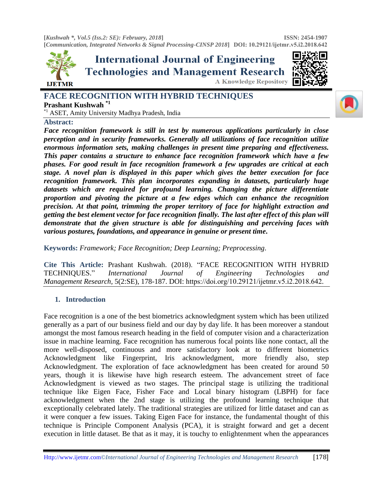

**International Journal of Engineering Technologies and Management Research** 





# **FACE RECOGNITION WITH HYBRID TECHNIQUES Prashant Kushwah \*1** \*1 ASET, Amity University Madhya Pradesh, India

**Abstract:** 

*Face recognition framework is still in test by numerous applications particularly in close perception and in security frameworks. Generally all utilizations of face recognition utilize enormous information sets, making challenges in present time preparing and effectiveness. This paper contains a structure to enhance face recognition framework which have a few phases. For good result in face recognition framework a few upgrades are critical at each stage. A novel plan is displayed in this paper which gives the better execution for face recognition framework. This plan incorporates expanding in datasets, particularly huge datasets which are required for profound learning. Changing the picture differentiate proportion and pivoting the picture at a few edges which can enhance the recognition precision. At that point, trimming the proper territory of face for highlight extraction and getting the best element vector for face recognition finally. The last after effect of this plan will demonstrate that the given structure is able for distinguishing and perceiving faces with various postures, foundations, and appearance in genuine or present time***.**

**Keywords:** *Framework; Face Recognition; Deep Learning; Preprocessing.* 

**Cite This Article:** Prashant Kushwah. (2018). "FACE RECOGNITION WITH HYBRID TECHNIQUES." *International Journal of Engineering Technologies and Management Research,* 5(2:SE), 178-187. DOI: https://doi.org/10.29121/ijetmr.v5.i2.2018.642.

# **1. Introduction**

Face recognition is a one of the best biometrics acknowledgment system which has been utilized generally as a part of our business field and our day by day life. It has been moreover a standout amongst the most famous research heading in the field of computer vision and a characterization issue in machine learning. Face recognition has numerous focal points like none contact, all the more well-disposed, continuous and more satisfactory look at to different biometrics Acknowledgment like Fingerprint, Iris acknowledgment, more friendly also, step Acknowledgment. The exploration of face acknowledgment has been created for around 50 years, though it is likewise have high research esteem. The advancement street of face Acknowledgment is viewed as two stages. The principal stage is utilizing the traditional technique like Eigen Face, Fisher Face and Local binary histogram (LBPH) for face acknowledgment when the 2nd stage is utilizing the profound learning technique that exceptionally celebrated lately. The traditional strategies are utilized for little dataset and can as it were conquer a few issues. Taking Eigen Face for instance, the fundamental thought of this technique is Principle Component Analysis (PCA), it is straight forward and get a decent execution in little dataset. Be that as it may, it is touchy to enlightenment when the appearances

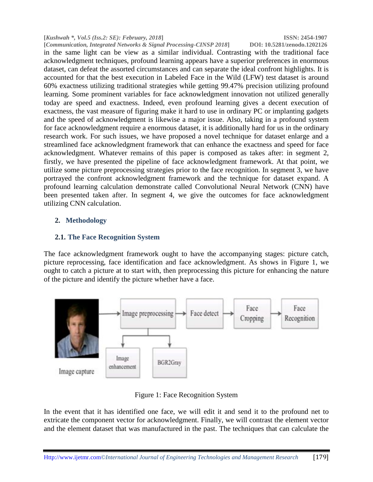**[***Kushwah \*, Vol.5 (Iss.2: SE): February, 2018***] ISSN: 2454-1907 [Communication, Integrated Networks & Signal Processing-CINSP 2018]** in the same light can be view as a similar individual. Contrasting with the traditional face acknowledgment techniques, profound learning appears have a superior preferences in enormous dataset, can defeat the assorted circumstances and can separate the ideal confront highlights. It is accounted for that the best execution in Labeled Face in the Wild (LFW) test dataset is around 60% exactness utilizing traditional strategies while getting 99.47% precision utilizing profound learning. Some prominent variables for face acknowledgment innovation not utilized generally today are speed and exactness. Indeed, even profound learning gives a decent execution of exactness, the vast measure of figuring make it hard to use in ordinary PC or implanting gadgets and the speed of acknowledgment is likewise a major issue. Also, taking in a profound system for face acknowledgment require a enormous dataset, it is additionally hard for us in the ordinary research work. For such issues, we have proposed a novel technique for dataset enlarge and a streamlined face acknowledgment framework that can enhance the exactness and speed for face acknowledgment. Whatever remains of this paper is composed as takes after: in segment 2, firstly, we have presented the pipeline of face acknowledgment framework. At that point, we utilize some picture preprocessing strategies prior to the face recognition. In segment 3, we have portrayed the confront acknowledgment framework and the technique for dataset expand. A profound learning calculation demonstrate called Convolutional Neural Network (CNN) have been presented taken after. In segment 4, we give the outcomes for face acknowledgment utilizing CNN calculation.

## **2. Methodology**

## **2.1. The Face Recognition System**

The face acknowledgment framework ought to have the accompanying stages: picture catch, picture reprocessing, face identification and face acknowledgment. As shows in Figure 1, we ought to catch a picture at to start with, then preprocessing this picture for enhancing the nature of the picture and identify the picture whether have a face.



Figure 1: Face Recognition System

In the event that it has identified one face, we will edit it and send it to the profound net to extricate the component vector for acknowledgment. Finally, we will contrast the element vector and the element dataset that was manufactured in the past. The techniques that can calculate the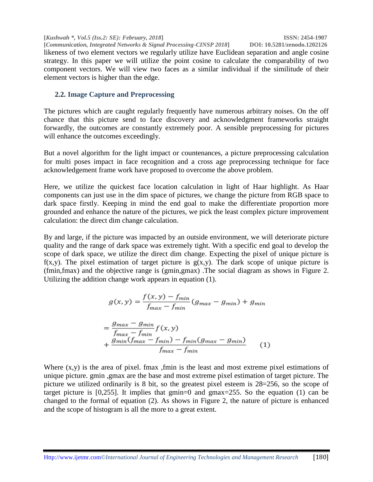**[***Kushwah \*, Vol.5 (Iss.2: SE): February, 2018***] ISSN: 2454-1907 [Communication, Integrated Networks & Signal Processing-CINSP 2018]** likeness of two element vectors we regularly utilize have Euclidean separation and angle cosine strategy. In this paper we will utilize the point cosine to calculate the comparability of two component vectors. We will view two faces as a similar individual if the similitude of their element vectors is higher than the edge.

# **2.2. Image Capture and Preprocessing**

The pictures which are caught regularly frequently have numerous arbitrary noises. On the off chance that this picture send to face discovery and acknowledgment frameworks straight forwardly, the outcomes are constantly extremely poor. A sensible preprocessing for pictures will enhance the outcomes exceedingly.

But a novel algorithm for the light impact or countenances, a picture preprocessing calculation for multi poses impact in face recognition and a cross age preprocessing technique for face acknowledgement frame work have proposed to overcome the above problem.

Here, we utilize the quickest face location calculation in light of Haar highlight. As Haar components can just use in the dim space of pictures, we change the picture from RGB space to dark space firstly. Keeping in mind the end goal to make the differentiate proportion more grounded and enhance the nature of the pictures, we pick the least complex picture improvement calculation: the direct dim change calculation.

By and large, if the picture was impacted by an outside environment, we will deteriorate picture quality and the range of dark space was extremely tight. With a specific end goal to develop the scope of dark space, we utilize the direct dim change. Expecting the pixel of unique picture is  $f(x,y)$ . The pixel estimation of target picture is  $g(x,y)$ . The dark scope of unique picture is (fmin,fmax) and the objective range is (gmin,gmax) .The social diagram as shows in Figure 2. Utilizing the addition change work appears in equation (1).

$$
g(x,y) = \frac{f(x,y) - f_{min}}{f_{max} - f_{min}} (g_{max} - g_{min}) + g_{min}
$$

$$
=\frac{g_{max} - g_{min}}{f_{max} - f_{min}} f(x, y)
$$
  
+ 
$$
\frac{g_{min}(f_{max} - f_{min}) - f_{min}(g_{max} - g_{min})}{f_{max} - f_{min}}
$$
 (1)

Where  $(x,y)$  is the area of pixel. fmax , fmin is the least and most extreme pixel estimations of unique picture. gmin ,gmax are the base and most extreme pixel estimation of target picture. The picture we utilized ordinarily is 8 bit, so the greatest pixel esteem is 28=256, so the scope of target picture is [0,255]. It implies that gmin=0 and gmax=255. So the equation (1) can be changed to the formal of equation (2). As shows in Figure 2, the nature of picture is enhanced and the scope of histogram is all the more to a great extent.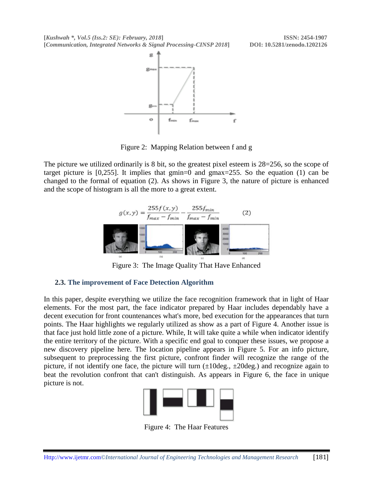**[***Kushwah \*, Vol.5 (Iss.2: SE): February, 2018***] ISSN: 2454-1907 [***Communication, Integrated Networks & Signal Processing-CINSP 2018***] DOI: 10.5281/zenodo.1202126**



Figure 2: Mapping Relation between f and g

The picture we utilized ordinarily is 8 bit, so the greatest pixel esteem is 28=256, so the scope of target picture is [0,255]. It implies that gmin=0 and gmax=255. So the equation (1) can be changed to the formal of equation (2). As shows in Figure 3, the nature of picture is enhanced and the scope of histogram is all the more to a great extent.



Figure 3: The Image Quality That Have Enhanced

#### **2.3. The improvement of Face Detection Algorithm**

In this paper, despite everything we utilize the face recognition framework that in light of Haar elements. For the most part, the face indicator prepared by Haar includes dependably have a decent execution for front countenances what's more, bed execution for the appearances that turn points. The Haar highlights we regularly utilized as show as a part of Figure 4. Another issue is that face just hold little zone of a picture. While, It will take quite a while when indicator identify the entire territory of the picture. With a specific end goal to conquer these issues, we propose a new discovery pipeline here. The location pipeline appears in Figure 5. For an info picture, subsequent to preprocessing the first picture, confront finder will recognize the range of the picture, if not identify one face, the picture will turn  $(\pm 10 \text{deg.}, \pm 20 \text{deg.})$  and recognize again to beat the revolution confront that can't distinguish. As appears in Figure 6, the face in unique picture is not.



Figure 4: The Haar Features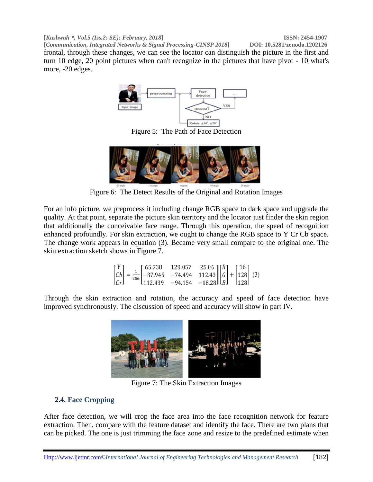**[***Kushwah \*, Vol.5 (Iss.2: SE): February, 2018***] ISSN: 2454-1907 [Communication, Integrated Networks & Signal Processing-CINSP 2018]** frontal, through these changes, we can see the locator can distinguish the picture in the first and turn 10 edge, 20 point pictures when can't recognize in the pictures that have pivot - 10 what's more, -20 edges.



Figure 5: The Path of Face Detection



Figure 6: The Detect Results of the Original and Rotation Images

For an info picture, we preprocess it including change RGB space to dark space and upgrade the quality. At that point, separate the picture skin territory and the locator just finder the skin region that additionally the conceivable face range. Through this operation, the speed of recognition enhanced profoundly. For skin extraction, we ought to change the RGB space to Y Cr Cb space. The change work appears in equation (3). Became very small compare to the original one. The skin extraction sketch shows in Figure 7.

$$
\begin{bmatrix} Y \\ Cb \\ Cr \end{bmatrix} = \frac{1}{256} \begin{bmatrix} 65.738 & 129.057 & 25.06 \\ -37.945 & -74.494 & 112.43 \\ 112.439 & -94.154 & -18.28 \end{bmatrix} \begin{bmatrix} R \\ G \\ B \end{bmatrix} + \begin{bmatrix} 16 \\ 128 \\ 128 \end{bmatrix} (3)
$$

Through the skin extraction and rotation, the accuracy and speed of face detection have improved synchronously. The discussion of speed and accuracy will show in part IV.



Figure 7: The Skin Extraction Images

# **2.4. Face Cropping**

After face detection, we will crop the face area into the face recognition network for feature extraction. Then, compare with the feature dataset and identify the face. There are two plans that can be picked. The one is just trimming the face zone and resize to the predefined estimate when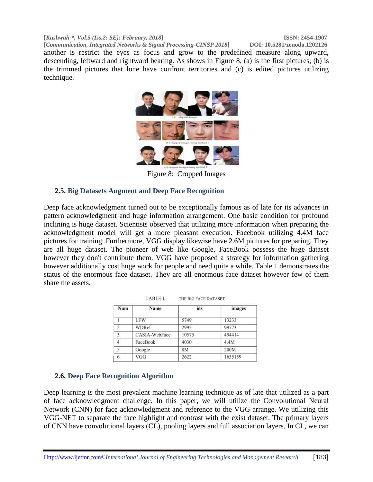**[***Kushwah \*, Vol.5 (Iss.2: SE): February, 2018***] ISSN: 2454-1907**

**[***Communication, Integrated Networks & Signal Processing-CINSP 2018***] DOI: 10.5281/zenodo.1202126** another is restrict the eyes as focus and grow to the predefined measure along upward, descending, leftward and rightward bearing. As shows in Figure 8, (a) is the first pictures, (b) is the trimmed pictures that lone have confront territories and (c) is edited pictures utilizing technique.



Figure 8: Cropped Images

## **2.5. Big Datasets Augment and Deep Face Recognition**

Deep face acknowledgment turned out to be exceptionally famous as of late for its advances in pattern acknowledgment and huge information arrangement. One basic condition for profound inclining is huge dataset. Scientists observed that utilizing more information when preparing the acknowledgment model will get a more pleasant execution. Facebook utilizing 4.4M face pictures for training. Furthermore, VGG display likewise have 2.6M pictures for preparing. They are all huge dataset. The pioneer of web like Google, FaceBook possess the huge dataset however they don't contribute them. VGG have proposed a strategy for information gathering however additionally cost huge work for people and need quite a while. Table 1 demonstrates the status of the enormous face dataset. They are all enormous face dataset however few of them share the assets.

| Num           | Name          | ids   | images  |
|---------------|---------------|-------|---------|
|               | <b>LFW</b>    | 5749  | 13233   |
| $\mathcal{D}$ | WDRef         | 2995  | 99773   |
| 3             | CASIA-WebFace | 10575 | 494414  |
| 4             | FaceBook      | 4030  | 4.4M    |
| 5             | Google        | 8M    | 200M    |
| 6             | VGG           | 2622  | 1635159 |

TABLE I. THE BIG FACE DATASET

#### **2.6. Deep Face Recognition Algorithm**

Deep learning is the most prevalent machine learning technique as of late that utilized as a part of face acknowledgment challenge. In this paper, we will utilize the Convolutional Neural Network (CNN) for face acknowledgment and reference to the VGG arrange. We utilizing this VGG-NET to separate the face highlight and contrast with the exist dataset. The primary layers of CNN have convolutional layers (CL), pooling layers and full association layers. In CL, we can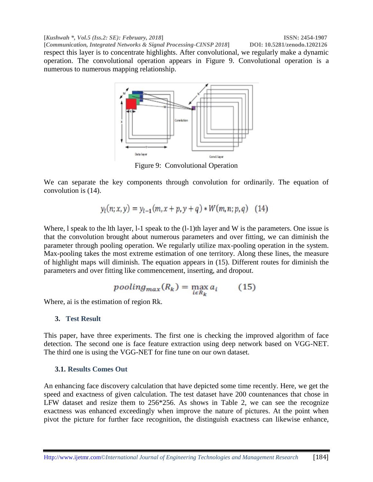**[***Kushwah \*, Vol.5 (Iss.2: SE): February, 2018***] ISSN: 2454-1907 [Communication, Integrated Networks & Signal Processing-CINSP 2018]** respect this layer is to concentrate highlights. After convolutional, we regularly make a dynamic operation. The convolutional operation appears in Figure 9. Convolutional operation is a numerous to numerous mapping relationship.



Figure 9: Convolutional Operation

We can separate the key components through convolution for ordinarily. The equation of convolution is (14).

$$
y_l(n; x, y) = y_{l-1}(m, x + p, y + q) * W(m, n; p, q)
$$
 (14)

Where, I speak to the Ith layer, I-1 speak to the  $(1-1)$ th layer and W is the parameters. One issue is that the convolution brought about numerous parameters and over fitting, we can diminish the parameter through pooling operation. We regularly utilize max-pooling operation in the system. Max-pooling takes the most extreme estimation of one territory. Along these lines, the measure of highlight maps will diminish. The equation appears in (15). Different routes for diminish the parameters and over fitting like commencement, inserting, and dropout.

$$
pooling_{max}(R_k) = \max_{i \in R_k} a_i \qquad (15)
$$

Where, ai is the estimation of region Rk.

#### **3. Test Result**

This paper, have three experiments. The first one is checking the improved algorithm of face detection. The second one is face feature extraction using deep network based on VGG-NET. The third one is using the VGG-NET for fine tune on our own dataset.

#### **3.1. Results Comes Out**

An enhancing face discovery calculation that have depicted some time recently. Here, we get the speed and exactness of given calculation. The test dataset have 200 countenances that chose in LFW dataset and resize them to 256\*256. As shows in Table 2, we can see the recognize exactness was enhanced exceedingly when improve the nature of pictures. At the point when pivot the picture for further face recognition, the distinguish exactness can likewise enhance,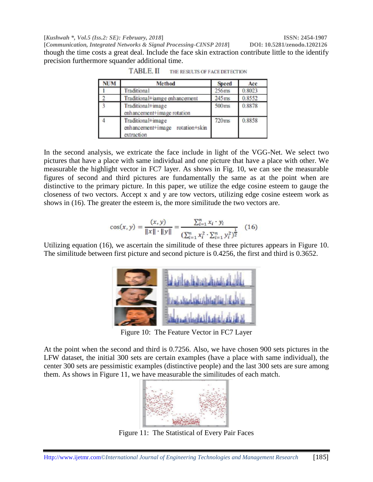**[***Kushwah \*, Vol.5 (Iss.2: SE): February, 2018***] ISSN: 2454-1907**

**[***Communication, Integrated Networks & Signal Processing-CINSP 2018***] DOI: 10.5281/zenodo.1202126** though the time costs a great deal. Include the face skin extraction contribute little to the identify precision furthermore squander additional time.

| <b>NUM</b> | Method                                                                | <b>Speed</b>      | Acc    |
|------------|-----------------------------------------------------------------------|-------------------|--------|
|            | Traditional                                                           | 256 <sub>ms</sub> | 0.8023 |
|            | Traditional+iamge enhancement                                         | $245$ ms          | 0.8552 |
|            | Traditional+image<br>enhancement+image rotation                       | 500ms             | 0.8878 |
|            | Traditional+image<br>rotation+skin<br>enhancement+image<br>extraction | 720 <sub>ms</sub> | 0.8858 |

**TABLE.II** THE RESULTS OF FACE DETECTION

In the second analysis, we extricate the face include in light of the VGG-Net. We select two pictures that have a place with same individual and one picture that have a place with other. We measurable the highlight vector in FC7 layer. As shows in Fig. 10, we can see the measurable figures of second and third pictures are fundamentally the same as at the point when are distinctive to the primary picture. In this paper, we utilize the edge cosine esteem to gauge the closeness of two vectors. Accept x and y are tow vectors, utilizing edge cosine esteem work as shows in (16). The greater the esteem is, the more similitude the two vectors are.

$$
\cos(x, y) = \frac{(x, y)}{\|x\| \cdot \|y\|} = \frac{\sum_{i=1}^{n} x_i \cdot y_i}{\left(\sum_{i=1}^{n} x_i^2 \cdot \sum_{i=1}^{n} y_i^2\right)^{\frac{1}{2}}} \tag{16}
$$

Utilizing equation (16), we ascertain the similitude of these three pictures appears in Figure 10. The similitude between first picture and second picture is 0.4256, the first and third is 0.3652.



Figure 10: The Feature Vector in FC7 Layer

At the point when the second and third is 0.7256. Also, we have chosen 900 sets pictures in the LFW dataset, the initial 300 sets are certain examples (have a place with same individual), the center 300 sets are pessimistic examples (distinctive people) and the last 300 sets are sure among them. As shows in Figure 11, we have measurable the similitudes of each match.



Figure 11: The Statistical of Every Pair Faces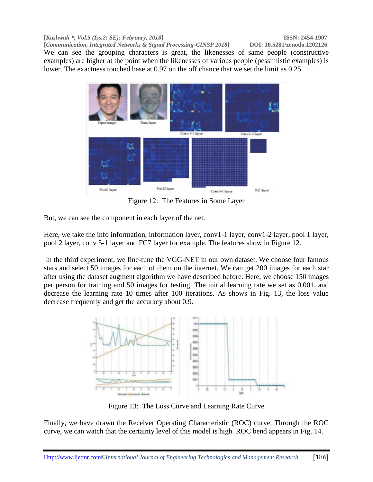**[***Kushwah \*, Vol.5 (Iss.2: SE): February, 2018***] ISSN: 2454-1907 [Communication, Integrated Networks & Signal Processing-CINSP 2018]** We can see the grouping characters is great, the likenesses of same people (constructive examples) are higher at the point when the likenesses of various people (pessimistic examples) is lower. The exactness touched base at 0.97 on the off chance that we set the limit as 0.25.



Figure 12: The Features in Some Layer

But, we can see the component in each layer of the net.

Here, we take the info information, information layer, conv1-1 layer, conv1-2 layer, pool 1 layer, pool 2 layer, conv 5-1 layer and FC7 layer for example. The features show in Figure 12.

In the third experiment, we fine-tune the VGG-NET in our own dataset. We choose four famous stars and select 50 images for each of them on the internet. We can get 200 images for each star after using the dataset augment algorithm we have described before. Here, we choose 150 images per person for training and 50 images for testing. The initial learning rate we set as 0.001, and decrease the learning rate 10 times after 100 iterations. As shows in Fig. 13, the loss value decrease frequently and get the accuracy about 0.9.



Figure 13: The Loss Curve and Learning Rate Curve

Finally, we have drawn the Receiver Operating Characteristic (ROC) curve. Through the ROC curve, we can watch that the certainty level of this model is high. ROC bend appears in Fig. 14.